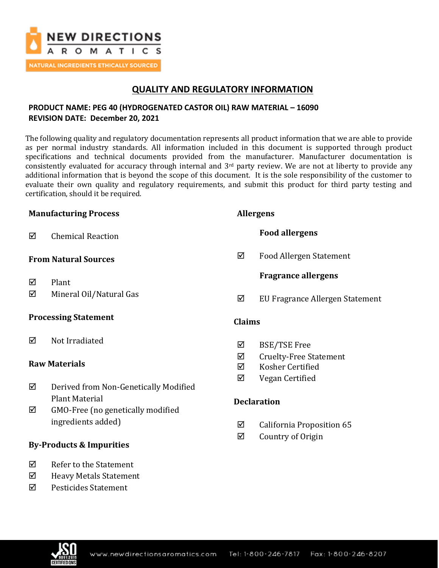

## **QUALITY AND REGULATORY INFORMATION**

## **PRODUCT NAME: PEG 40 (HYDROGENATED CASTOR OIL) RAW MATERIAL – 16090 REVISION DATE: December 20, 2021**

The following quality and regulatory documentation represents all product information that we are able to provide as per normal industry standards. All information included in this document is supported through product specifications and technical documents provided from the manufacturer. Manufacturer documentation is consistently evaluated for accuracy through internal and 3rd party review. We are not at liberty to provide any additional information that is beyond the scope of this document. It is the sole responsibility of the customer to evaluate their own quality and regulatory requirements, and submit this product for third party testing and certification, should it be required.

## **Manufacturing Process**

Chemical Reaction

## **From Natural Sources**

- $\nabla$  Plant
- $\boxtimes$  Mineral Oil/Natural Gas

## **Processing Statement**

**☑** Not Irradiated

## **Raw Materials**

- Derived from Non-Genetically Modified Plant Material
- $\boxtimes$  GMO-Free (no genetically modified ingredients added)

## **By-Products & Impurities**

- $\nabla$  Refer to the Statement
- $\boxtimes$  Heavy Metals Statement
- Pesticides Statement

## **Allergens**

## **Food allergens**

 $\boxtimes$  Food Allergen Statement

## **Fragrance allergens**

 $\boxtimes$  EU Fragrance Allergen Statement

### **Claims**

- $\boxtimes$  BSE/TSE Free
- $\boxtimes$  Cruelty-Free Statement
- **⊠** Kosher Certified
- $\boxtimes$  Vegan Certified

## **Declaration**

- $\boxtimes$  California Proposition 65
- $\boxtimes$  Country of Origin

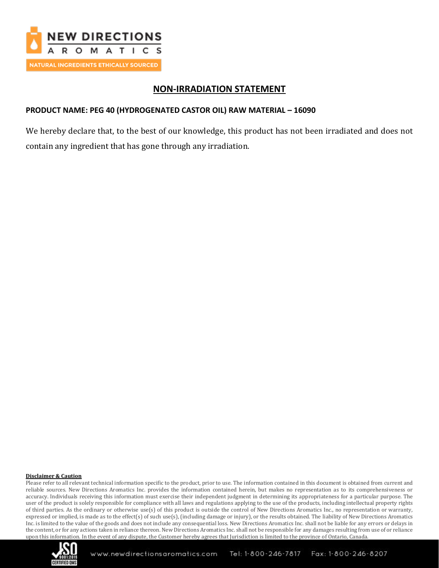

## **NON-IRRADIATION STATEMENT**

## **PRODUCT NAME: PEG 40 (HYDROGENATED CASTOR OIL) RAW MATERIAL – 16090**

We hereby declare that, to the best of our knowledge, this product has not been irradiated and does not contain any ingredient that has gone through any irradiation.

#### **Disclaimer & Caution**

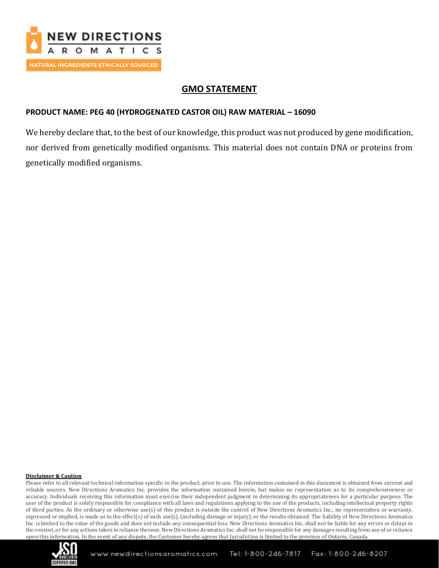

# **GMO STATEMENT**

## **PRODUCT NAME: PEG 40 (HYDROGENATED CASTOR OIL) RAW MATERIAL – 16090**

We hereby declare that, to the best of our knowledge, this product was not produced by gene modification, nor derived from genetically modified organisms. This material does not contain DNA or proteins from genetically modified organisms.

### **Disclaimer & Caution**

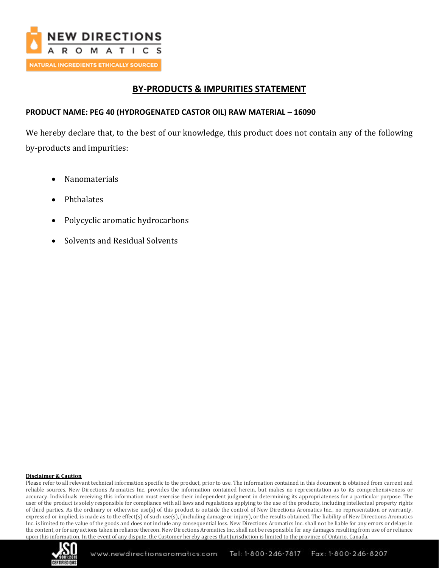

## **BY-PRODUCTS & IMPURITIES STATEMENT**

## **PRODUCT NAME: PEG 40 (HYDROGENATED CASTOR OIL) RAW MATERIAL – 16090**

We hereby declare that, to the best of our knowledge, this product does not contain any of the following by-products and impurities:

- Nanomaterials
- Phthalates
- Polycyclic aromatic hydrocarbons
- Solvents and Residual Solvents

### **Disclaimer & Caution**

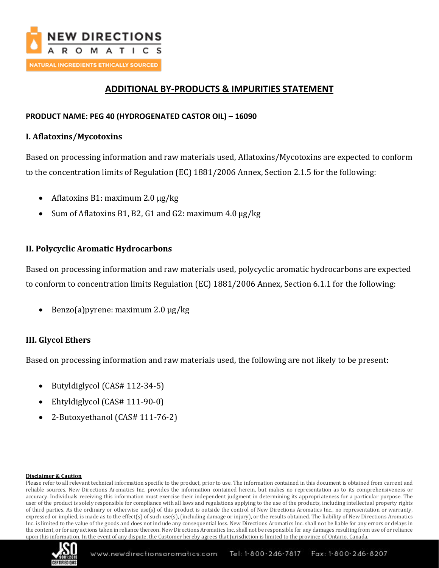

# **ADDITIONAL BY-PRODUCTS & IMPURITIES STATEMENT**

## **PRODUCT NAME: PEG 40 (HYDROGENATED CASTOR OIL) – 16090**

## **I. Aflatoxins/Mycotoxins**

Based on processing information and raw materials used, Aflatoxins/Mycotoxins are expected to conform to the concentration limits of Regulation (EC) 1881/2006 Annex, Section 2.1.5 for the following:

- Aflatoxins B1: maximum 2.0  $\mu$ g/kg
- Sum of Aflatoxins B1, B2, G1 and G2: maximum 4.0 ug/kg

## **II. Polycyclic Aromatic Hydrocarbons**

Based on processing information and raw materials used, polycyclic aromatic hydrocarbons are expected to conform to concentration limits Regulation (EC) 1881/2006 Annex, Section 6.1.1 for the following:

• Benzo(a) pyrene: maximum 2.0 µg/kg

## **III. Glycol Ethers**

Based on processing information and raw materials used, the following are not likely to be present:

- Butyldiglycol (CAS# 112-34-5)
- Ehtyldiglycol (CAS# 111-90-0)
- 2-Butoxyethanol (CAS# 111-76-2)

### **Disclaimer & Caution**

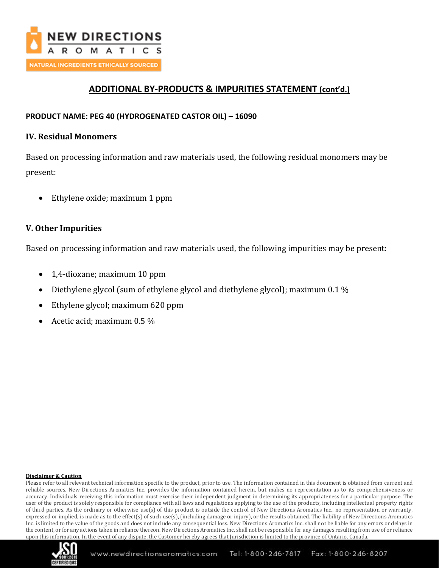

# **ADDITIONAL BY-PRODUCTS & IMPURITIES STATEMENT (cont'd.)**

## **PRODUCT NAME: PEG 40 (HYDROGENATED CASTOR OIL) – 16090**

### **IV. Residual Monomers**

Based on processing information and raw materials used, the following residual monomers may be present:

• Ethylene oxide; maximum 1 ppm

### **V. Other Impurities**

Based on processing information and raw materials used, the following impurities may be present:

- 1,4-dioxane; maximum 10 ppm
- Diethylene glycol (sum of ethylene glycol and diethylene glycol); maximum 0.1 %
- Ethylene glycol; maximum 620 ppm
- Acetic acid; maximum 0.5 %

### **Disclaimer & Caution**

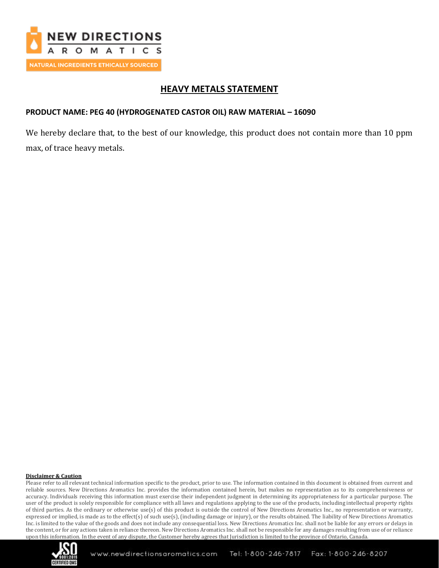

## **HEAVY METALS STATEMENT**

## **PRODUCT NAME: PEG 40 (HYDROGENATED CASTOR OIL) RAW MATERIAL – 16090**

We hereby declare that, to the best of our knowledge, this product does not contain more than 10 ppm max, of trace heavy metals.

### **Disclaimer & Caution**

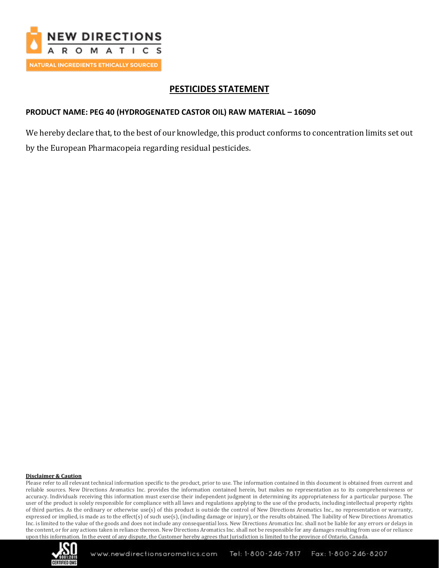

# **PESTICIDES STATEMENT**

## **PRODUCT NAME: PEG 40 (HYDROGENATED CASTOR OIL) RAW MATERIAL – 16090**

We hereby declare that, to the best of our knowledge, this product conforms to concentration limits set out by the European Pharmacopeia regarding residual pesticides.

### **Disclaimer & Caution**

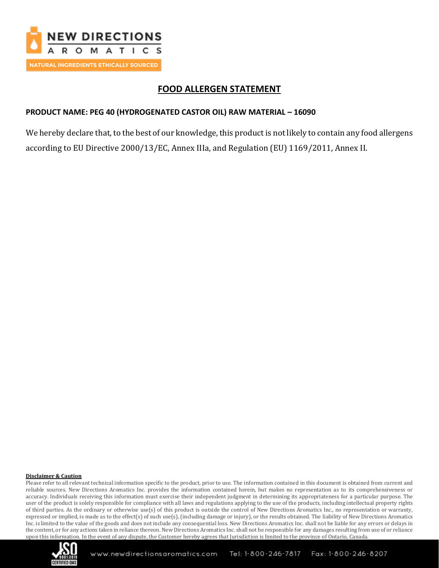

# **FOOD ALLERGEN STATEMENT**

## **PRODUCT NAME: PEG 40 (HYDROGENATED CASTOR OIL) RAW MATERIAL – 16090**

We hereby declare that, to the best of our knowledge, this product is not likely to contain any food allergens according to EU Directive 2000/13/EC, Annex IIIa, and Regulation (EU) 1169/2011, Annex II.

### **Disclaimer & Caution**

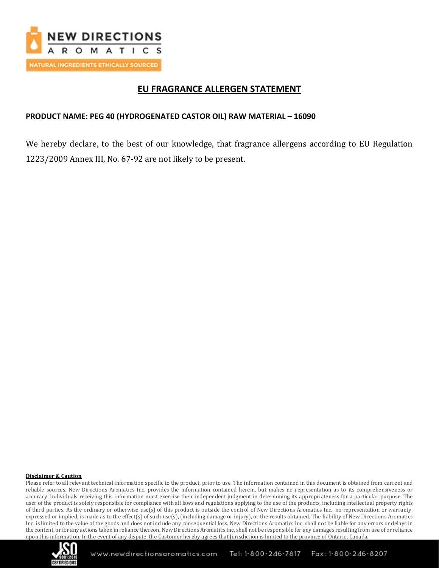

# **EU FRAGRANCE ALLERGEN STATEMENT**

## **PRODUCT NAME: PEG 40 (HYDROGENATED CASTOR OIL) RAW MATERIAL – 16090**

We hereby declare, to the best of our knowledge, that fragrance allergens according to EU Regulation 1223/2009 Annex III, No. 67-92 are not likely to be present.

### **Disclaimer & Caution**

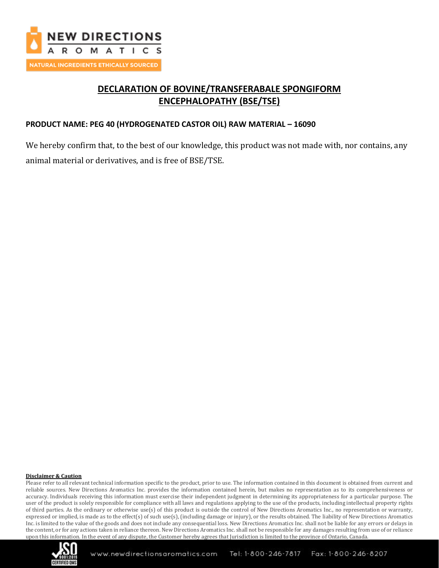

# **DECLARATION OF BOVINE/TRANSFERABALE SPONGIFORM ENCEPHALOPATHY (BSE/TSE)**

## **PRODUCT NAME: PEG 40 (HYDROGENATED CASTOR OIL) RAW MATERIAL – 16090**

We hereby confirm that, to the best of our knowledge, this product was not made with, nor contains, any animal material or derivatives, and is free of BSE/TSE.

#### **Disclaimer & Caution**

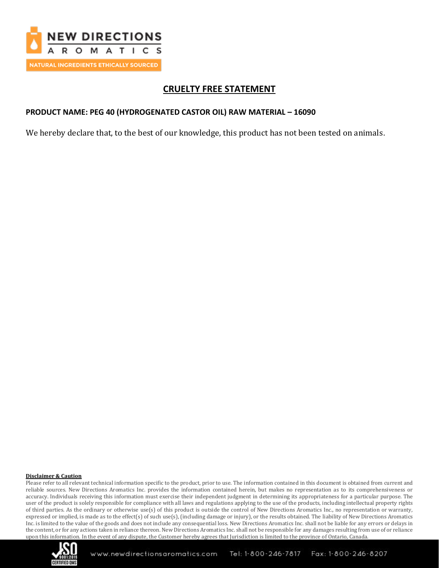

# **CRUELTY FREE STATEMENT**

## **PRODUCT NAME: PEG 40 (HYDROGENATED CASTOR OIL) RAW MATERIAL – 16090**

We hereby declare that, to the best of our knowledge, this product has not been tested on animals.

### **Disclaimer & Caution**

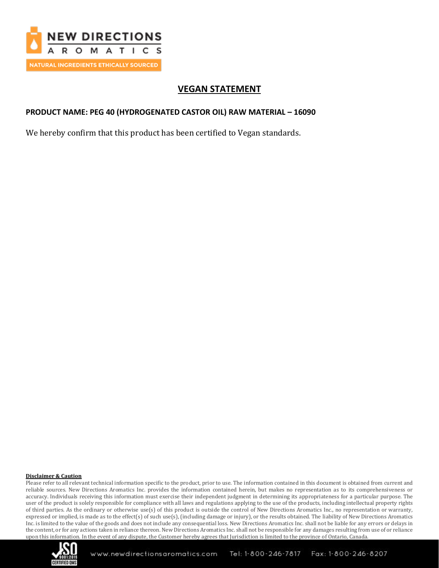

# **VEGAN STATEMENT**

## **PRODUCT NAME: PEG 40 (HYDROGENATED CASTOR OIL) RAW MATERIAL – 16090**

We hereby confirm that this product has been certified to Vegan standards.

### **Disclaimer & Caution**

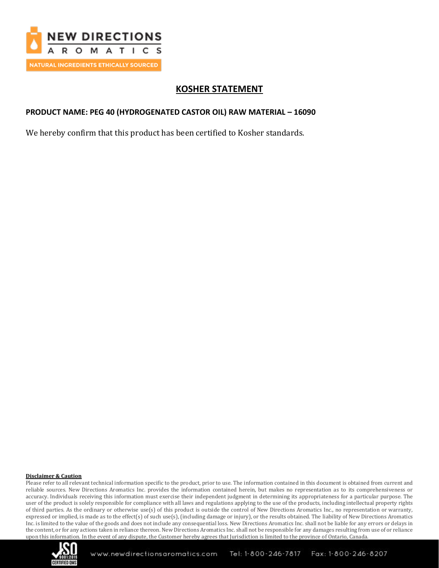

# **KOSHER STATEMENT**

## **PRODUCT NAME: PEG 40 (HYDROGENATED CASTOR OIL) RAW MATERIAL – 16090**

We hereby confirm that this product has been certified to Kosher standards.

### **Disclaimer & Caution**

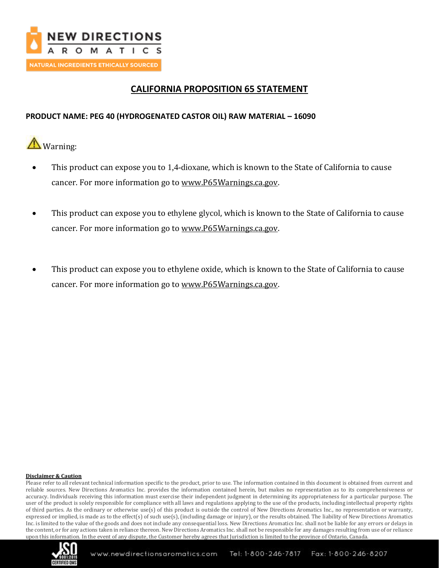

# **CALIFORNIA PROPOSITION 65 STATEMENT**

## **PRODUCT NAME: PEG 40 (HYDROGENATED CASTOR OIL) RAW MATERIAL – 16090**

**A** Warning:

- This product can expose you to 1,4-dioxane, which is known to the State of California to cause cancer. For more information go to [www.P65Warnings.ca.gov.](http://www.p65warnings.ca.gov/)
- This product can expose you to ethylene glycol, which is known to the State of California to cause cancer. For more information go to [www.P65Warnings.ca.gov.](http://www.p65warnings.ca.gov/)
- This product can expose you to ethylene oxide, which is known to the State of California to cause cancer. For more information go to [www.P65Warnings.ca.gov.](http://www.p65warnings.ca.gov/)

### **Disclaimer & Caution**